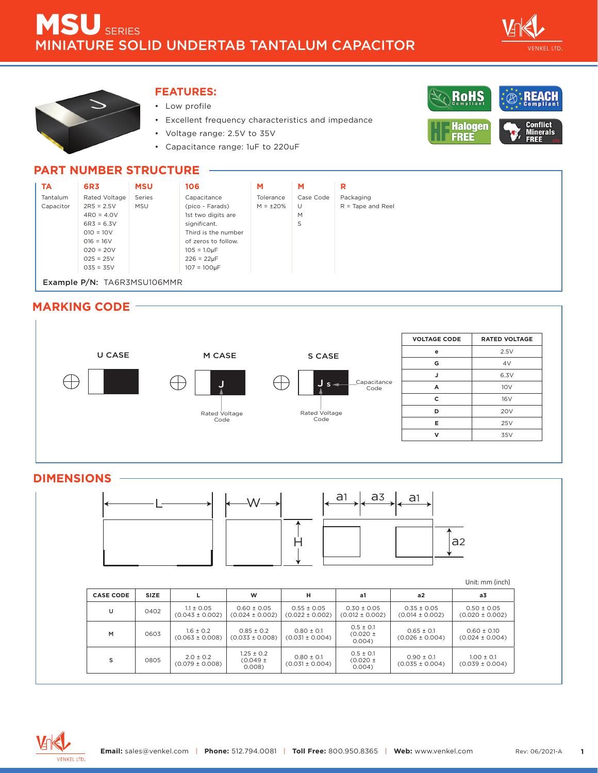



#### **FEATURES:**

- Low profile
- Excellent frequency characteristics and impedance
- Voltage range: 2.5V to 35V
- Capacitance range: 1uF to 220uF



#### **PART NUMBER STRUCTURE**



Example P/N: TA6R3MSU106MMR

### **MARKING CODE**



#### **DIMENSIONS**



#### Unit: mm (inch)

| <b>CASE CODE</b> | <b>SIZE</b> |                                       | W                                       | н                                      | a1                                     | a2                                     | a <sub>3</sub>                         |
|------------------|-------------|---------------------------------------|-----------------------------------------|----------------------------------------|----------------------------------------|----------------------------------------|----------------------------------------|
| U                | 0402        | $1.1 \pm 0.05$<br>$(0.043 \pm 0.002)$ | $0.60 \pm 0.05$<br>$(0.024 \pm 0.002)$  | $0.55 \pm 0.05$<br>$(0.022 \pm 0.002)$ | $0.30 \pm 0.05$<br>$(0.012 \pm 0.002)$ | $0.35 \pm 0.05$<br>$(0.014 \pm 0.002)$ | $0.50 \pm 0.05$<br>$(0.020 \pm 0.002)$ |
| M                | 0603        | $1.6 \pm 0.2$<br>$(0.063 \pm 0.008)$  | $0.85 \pm 0.2$<br>$(0.033 \pm 0.008)$   | $0.80 + 0.1$<br>$(0.031 \pm 0.004)$    | $0.5 \pm 0.1$<br>$(0.020 \pm$<br>0.004 | $0.65 + 0.1$<br>$(0.026 \pm 0.004)$    | $0.60 \pm 0.10$<br>$(0.024 \pm 0.004)$ |
| s                | 0805        | $2.0 \pm 0.2$<br>$(0.079 \pm 0.008)$  | $1.25 \pm 0.2$<br>$(0.049 \pm$<br>0.008 | $0.80 \pm 0.1$<br>$(0.031 \pm 0.004)$  | $0.5 \pm 0.1$<br>$(0.020 \pm$<br>0.004 | $0.90 + 0.1$<br>$(0.035 \pm 0.004)$    | $1.00 + 0.1$<br>$(0.039 \pm 0.004)$    |

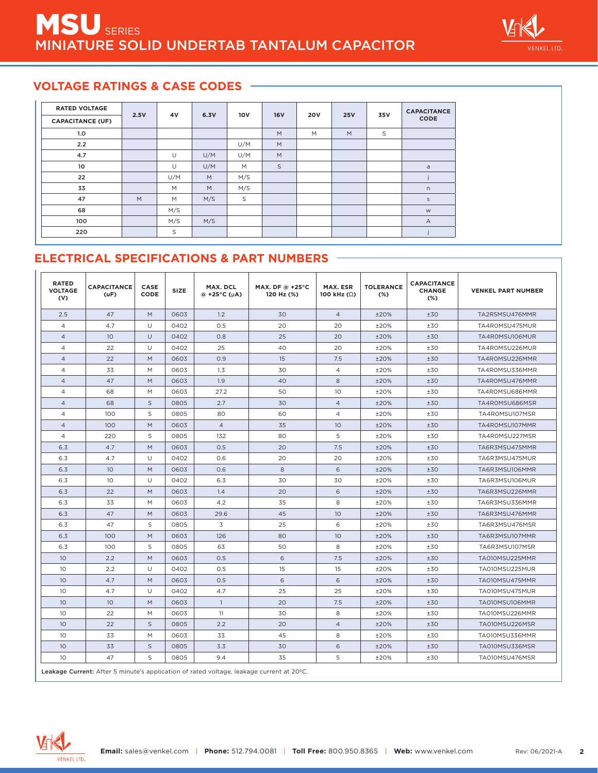

# **VOLTAGE RATINGS & CASE CODES**

| <b>RATED VOLTAGE</b>    |      | 4V  | 6.3V | <b>10V</b> | <b>16V</b> | <b>20V</b> | <b>25V</b> | 35V | <b>CAPACITANCE</b> |
|-------------------------|------|-----|------|------------|------------|------------|------------|-----|--------------------|
| <b>CAPACITANCE (UF)</b> | 2.5V |     |      |            |            |            |            |     | CODE               |
| 1.0                     |      |     |      |            | M          | M          | M          | S   |                    |
| 2.2                     |      |     |      | U/M        | M          |            |            |     |                    |
| 4.7                     |      | U   | U/M  | U/M        | M          |            |            |     |                    |
| 10                      |      | U   | U/M  | M          | S          |            |            |     | $\mathsf a$        |
| 22                      |      | U/M | M    | M/S        |            |            |            |     |                    |
| 33                      |      | M   | M    | M/S        |            |            |            |     | n                  |
| 47                      | M    | M   | M/S  | S          |            |            |            |     | $\mathsf{S}$       |
| 68                      |      | M/S |      |            |            |            |            |     | ${\sf W}$          |
| 100                     |      | M/S | M/S  |            |            |            |            |     | $\overline{A}$     |
| 220                     |      | S   |      |            |            |            |            |     |                    |

# **ELECTRICAL SPECIFICATIONS & PART NUMBERS**

| <b>RATED</b><br><b>VOLTAGE</b><br>(V) | <b>CAPACITANCE</b><br>(uF) | <b>CASE</b><br>CODE | SIZE | MAX. DCL<br>$\omega$ +25°C ( $\mu$ A) | MAX. DF @ +25°C<br>120 Hz (%) | <b>MAX. ESR</b><br>100 kHz $(\Omega)$ | <b>TOLERANCE</b><br>$(\%)$ | <b>CAPACITANCE</b><br><b>CHANGE</b><br>$(\%)$ | <b>VENKEL PART NUMBER</b> |
|---------------------------------------|----------------------------|---------------------|------|---------------------------------------|-------------------------------|---------------------------------------|----------------------------|-----------------------------------------------|---------------------------|
| 2.5                                   | 47                         | M                   | 0603 | 1.2                                   | 30                            | $\overline{4}$                        | ±20%                       | ±30                                           | TA2R5MSU476MMR            |
| $\overline{4}$                        | 4.7                        | U                   | 0402 | 0.5                                   | 20                            | 20                                    | ±20%                       | ±30                                           | TA4ROMSU475MUR            |
| $\overline{4}$                        | 10 <sup>°</sup>            | U                   | 0402 | 0.8                                   | 25                            | 20                                    | ±20%                       | ±30                                           | TA4R0MSU106MUR            |
| $\overline{4}$                        | 22                         | U                   | 0402 | 25                                    | 40                            | 20                                    | ±20%                       | ±30                                           | TA4R0MSU226MUR            |
| $\overline{4}$                        | 22                         | M                   | 0603 | 0.9                                   | 15                            | 7.5                                   | ±20%                       | ±30                                           | TA4R0MSU226MMR            |
| $\overline{4}$                        | 33                         | M                   | 0603 | 1.3                                   | 30                            | $\overline{4}$                        | ±20%                       | ±30                                           | TA4ROMSU336MMR            |
| $\overline{4}$                        | 47                         | M                   | 0603 | 1.9                                   | 40                            | 8                                     | ±20%                       | ±30                                           | TA4R0MSU476MMR            |
| $\overline{4}$                        | 68                         | M                   | 0603 | 27.2                                  | 50                            | 10                                    | ±20%                       | ±30                                           | TA4ROMSU686MMR            |
| $\overline{4}$                        | 68                         | S                   | 0805 | 2.7                                   | 30                            | $\overline{4}$                        | ±20%                       | ±30                                           | TA4ROMSU686MSR            |
| $\overline{4}$                        | 100                        | S                   | 0805 | 80                                    | 60                            | $\overline{4}$                        | ±20%                       | ±30                                           | TA4R0MSU107MSR            |
| $\overline{4}$                        | 100                        | M                   | 0603 | $\overline{4}$                        | 35                            | 10                                    | ±20%                       | ±30                                           | TA4R0MSU107MMR            |
| $\overline{4}$                        | 220                        | S                   | 0805 | 132                                   | 80                            | 5                                     | ±20%                       | ±30                                           | TA4ROMSU227MSR            |
| 6.3                                   | 4.7                        | M                   | 0603 | 0.5                                   | 20                            | 7.5                                   | $+20%$                     | ±30                                           | TA6R3MSU475MMR            |
| 6.3                                   | 4.7                        | U                   | 0402 | 0.6                                   | 20                            | 20                                    | ±20%                       | ±30                                           | TA6R3MSU475MUR            |
| 6.3                                   | 10 <sup>°</sup>            | M                   | 0603 | O.6                                   | 8                             | 6                                     | ±20%                       | ±30                                           | TA6R3MSU106MMR            |
| 6.3                                   | 10                         | $\cup$              | 0402 | 6.3                                   | 30                            | 30                                    | ±20%                       | ±30                                           | TA6R3MSU106MUR            |
| 6.3                                   | 22                         | M                   | 0603 | 1.4                                   | 20                            | 6                                     | ±20%                       | ±30                                           | TA6R3MSU226MMR            |
| 6.3                                   | 33                         | M                   | 0603 | 4.2                                   | 35                            | 8                                     | ±20%                       | ±30                                           | TA6R3MSU336MMR            |
| 6.3                                   | 47                         | M                   | 0603 | 29.6                                  | 45                            | 10                                    | ±20%                       | ±30                                           | TA6R3MSU476MMR            |
| 6.3                                   | 47                         | S                   | 0805 | 3                                     | 25                            | 6                                     | ±20%                       | ±30                                           | TA6R3MSU476MSR            |
| 6.3                                   | 100                        | M                   | 0603 | 126                                   | 80                            | 10                                    | ±20%                       | ±30                                           | TA6R3MSU107MMR            |
| 6.3                                   | 100                        | S                   | 0805 | 63                                    | 50                            | 8                                     | ±20%                       | ±30                                           | TA6R3MSU107MSR            |
| 10                                    | 2.2                        | M                   | 0603 | 0.5                                   | 6                             | 7.5                                   | ±20%                       | ±30                                           | TA010MSU225MMR            |
| 10                                    | 2.2                        | U                   | 0402 | 0.5                                   | 15                            | 15                                    | ±20%                       | ±30                                           | TA010MSU225MUR            |
| 10                                    | 4.7                        | M                   | 0603 | 0.5                                   | 6                             | 6                                     | ±20%                       | ±30                                           | TA010MSU475MMR            |
| 10                                    | 4.7                        | U                   | 0402 | 4.7                                   | 25                            | 25                                    | ±20%                       | ±30                                           | TA010MSU475MUR            |
| 10                                    | 10                         | M                   | 0603 | $\overline{1}$                        | 20                            | 7.5                                   | ±20%                       | ±30                                           | TA010MSU106MMR            |
| 10                                    | 22                         | M                   | 0603 | 11                                    | 30                            | 8                                     | ±20%                       | ±30                                           | TA010MSU226MMR            |
| 10                                    | 22                         | S                   | 0805 | 2.2                                   | 20                            | $\overline{4}$                        | ±20%                       | ±30                                           | TA010MSU226MSR            |
| 10                                    | 33                         | M                   | 0603 | 33                                    | 45                            | 8                                     | ±20%                       | ±30                                           | TA010MSU336MMR            |
| 10                                    | 33                         | S                   | 0805 | 3.3                                   | 30                            | 6                                     | ±20%                       | ±30                                           | TA010MSU336MSR            |
| 10                                    | 47                         | S                   | 0805 | 9.4                                   | 35                            | 5                                     | ±20%                       | ±30                                           | TA010MSU476MSR            |

Leakage Current: After 5 minute's application of rated voltage, leakage current at 20ºC.

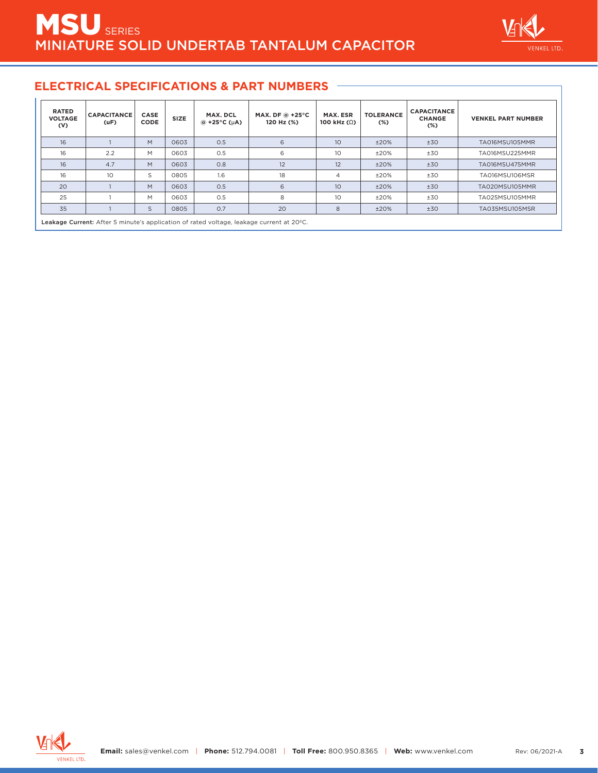

### **ELECTRICAL SPECIFICATIONS & PART NUMBERS**

| <b>RATED</b><br><b>VOLTAGE</b><br>(V) | <b>CAPACITANCE</b><br>(uF) | CASE<br><b>CODE</b> | <b>SIZE</b> | MAX. DCL<br>$\omega$ +25°C ( $\mu$ A) | MAX. DF @ +25°C<br>120 Hz (%) | MAX. ESR<br>100 kHz $(\Omega)$ | <b>TOLERANCE</b><br>$(\%)$ | <b>CAPACITANCE</b><br><b>CHANGE</b><br>$(\%)$ | <b>VENKEL PART NUMBER</b> |
|---------------------------------------|----------------------------|---------------------|-------------|---------------------------------------|-------------------------------|--------------------------------|----------------------------|-----------------------------------------------|---------------------------|
| 16                                    |                            | M                   | 0603        | 0.5                                   | 6                             | 10                             | ±20%                       | ±30                                           | TA016MSU105MMR            |
| 16                                    | 2.2                        | M                   | 0603        | 0.5                                   | 6                             | 10                             | ±20%                       | ±30                                           | TA016MSU225MMR            |
| 16                                    | 4.7                        | M                   | 0603        | 0.8                                   | 12                            | 12                             | ±20%                       | ±30                                           | TA016MSU475MMR            |
| 16                                    | 10                         | S                   | 0805        | 1.6                                   | 18                            | $\overline{4}$                 | ±20%                       | ±30                                           | TA016MSU106MSR            |
| 20                                    |                            | M                   | 0603        | 0.5                                   | 6                             | 10                             | ±20%                       | ±30                                           | TA020MSU105MMR            |
| 25                                    |                            | M                   | 0603        | O.5                                   | 8                             | 10                             | ±20%                       | ±30                                           | TA025MSU105MMR            |
| 35                                    |                            | S                   | 0805        | O.7                                   | 20                            | 8                              | ±20%                       | ±30                                           | TA035MSU105MSR            |

Leakage Current: After 5 minute's application of rated voltage, leakage current at 20ºC.

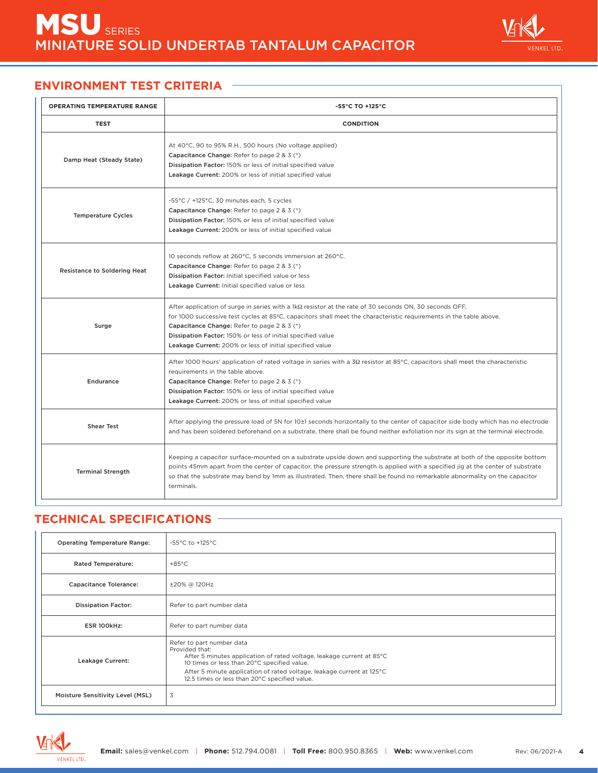

## **ENVIRONMENT TEST CRITERIA**

| <b>OPERATING TEMPERATURE RANGE</b>  | $-55^{\circ}$ C TO $+125^{\circ}$ C                                                                                                                                                                                                                                                                                                                                                                           |
|-------------------------------------|---------------------------------------------------------------------------------------------------------------------------------------------------------------------------------------------------------------------------------------------------------------------------------------------------------------------------------------------------------------------------------------------------------------|
| <b>TEST</b>                         | <b>CONDITION</b>                                                                                                                                                                                                                                                                                                                                                                                              |
| Damp Heat (Steady State)            | At 40°C, 90 to 95% R.H., 500 hours (No voltage applied)<br>Capacitance Change: Refer to page 2 & 3 (*)<br>Dissipation Factor: 150% or less of initial specified value<br>Leakage Current: 200% or less of initial specified value                                                                                                                                                                             |
| <b>Temperature Cycles</b>           | -55°C / +125°C, 30 minutes each, 5 cycles<br>Capacitance Change: Refer to page 2 & 3 (*)<br>Dissipation Factor: 150% or less of initial specified value<br>Leakage Current: 200% or less of initial specified value                                                                                                                                                                                           |
| <b>Resistance to Soldering Heat</b> | 10 seconds reflow at 260°C, 5 seconds immersion at 260°C.<br>Capacitance Change: Refer to page 2 & 3 (*)<br>Dissipation Factor: Initial specified value or less<br>Leakage Current: Initial specified value or less                                                                                                                                                                                           |
| Surge                               | After application of surge in series with a $1k\Omega$ resistor at the rate of 30 seconds ON, 30 seconds OFF,<br>for 1000 successive test cycles at 85°C, capacitors shall meet the characteristic requirements in the table above.<br>Capacitance Change: Refer to page 2 & 3 (*)<br>Dissipation Factor: 150% or less of initial specified value<br>Leakage Current: 200% or less of initial specified value |
| <b>Endurance</b>                    | After 1000 hours' application of rated voltage in series with a $3\Omega$ resistor at 85°C, capacitors shall meet the characteristic<br>requirements in the table above.<br>Capacitance Change: Refer to page 2 & 3 (*)<br>Dissipation Factor: 150% or less of initial specified value<br>Leakage Current: 200% or less of initial specified value                                                            |
| <b>Shear Test</b>                   | After applying the pressure load of 5N for 10±1 seconds horizontally to the center of capacitor side body which has no electrode<br>and has been soldered beforehand on a substrate, there shall be found neither exfoliation nor its sign at the terminal electrode.                                                                                                                                         |
| <b>Terminal Strength</b>            | Keeping a capacitor surface-mounted on a substrate upside down and supporting the substrate at both of the opposite bottom<br>points 45mm apart from the center of capacitor, the pressure strength is applied with a specified jig at the center of substrate<br>so that the substrate may bend by 1mm as illustrated. Then, there shall be found no remarkable abnormality on the capacitor<br>terminals.   |

# **TECHNICAL SPECIFICATIONS**

| <b>Operating Temperature Range:</b>                                                                                                                                                                                                                                                                               | -55°C to +125°C           |
|-------------------------------------------------------------------------------------------------------------------------------------------------------------------------------------------------------------------------------------------------------------------------------------------------------------------|---------------------------|
| <b>Rated Temperature:</b>                                                                                                                                                                                                                                                                                         | $+85^{\circ}$ C           |
| <b>Capacitance Tolerance:</b>                                                                                                                                                                                                                                                                                     | ±20% @ 120Hz              |
| <b>Dissipation Factor:</b>                                                                                                                                                                                                                                                                                        | Refer to part number data |
| ESR 100kHz:                                                                                                                                                                                                                                                                                                       | Refer to part number data |
| Refer to part number data<br>Provided that:<br>After 5 minutes application of rated voltage, leakage current at 85°C<br>Leakage Current:<br>10 times or less than 20°C specified value.<br>After 5 minute application of rated voltage, leakage current at 125°C<br>12.5 times or less than 20°C specified value. |                           |
| Moisture Sensitivity Level (MSL)                                                                                                                                                                                                                                                                                  | 3                         |

![](_page_3_Picture_6.jpeg)